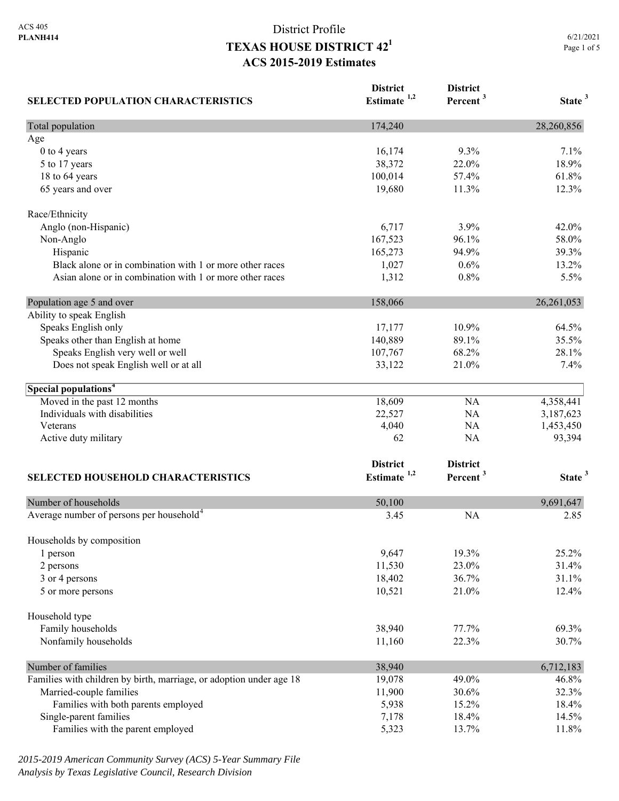| <b>SELECTED POPULATION CHARACTERISTICS</b>                          | <b>District</b><br>Estimate <sup>1,2</sup> | <b>District</b><br>Percent <sup>3</sup> | State <sup>3</sup> |
|---------------------------------------------------------------------|--------------------------------------------|-----------------------------------------|--------------------|
| Total population                                                    | 174,240                                    |                                         | 28,260,856         |
| Age                                                                 |                                            |                                         |                    |
| 0 to 4 years                                                        | 16,174                                     | 9.3%                                    | 7.1%               |
| 5 to 17 years                                                       | 38,372                                     | 22.0%                                   | 18.9%              |
| 18 to 64 years                                                      | 100,014                                    | 57.4%                                   | 61.8%              |
| 65 years and over                                                   | 19,680                                     | 11.3%                                   | 12.3%              |
| Race/Ethnicity                                                      |                                            |                                         |                    |
| Anglo (non-Hispanic)                                                | 6,717                                      | 3.9%                                    | 42.0%              |
| Non-Anglo                                                           | 167,523                                    | 96.1%                                   | 58.0%              |
| Hispanic                                                            | 165,273                                    | 94.9%                                   | 39.3%              |
| Black alone or in combination with 1 or more other races            | 1,027                                      | 0.6%                                    | 13.2%              |
| Asian alone or in combination with 1 or more other races            | 1,312                                      | 0.8%                                    | 5.5%               |
| Population age 5 and over                                           | 158,066                                    |                                         | 26, 261, 053       |
| Ability to speak English                                            |                                            |                                         |                    |
| Speaks English only                                                 | 17,177                                     | 10.9%                                   | 64.5%              |
| Speaks other than English at home                                   | 140,889                                    | 89.1%                                   | 35.5%              |
| Speaks English very well or well                                    | 107,767                                    | 68.2%                                   | 28.1%              |
| Does not speak English well or at all                               | 33,122                                     | 21.0%                                   | 7.4%               |
| Special populations <sup>4</sup>                                    |                                            |                                         |                    |
| Moved in the past 12 months                                         | 18,609                                     | NA                                      | 4,358,441          |
| Individuals with disabilities                                       | 22,527                                     | NA                                      | 3,187,623          |
| Veterans                                                            | 4,040                                      | NA                                      | 1,453,450          |
| Active duty military                                                | 62                                         | <b>NA</b>                               | 93,394             |
|                                                                     | <b>District</b>                            | <b>District</b>                         |                    |
| <b>SELECTED HOUSEHOLD CHARACTERISTICS</b>                           | Estimate <sup>1,2</sup>                    | Percent <sup>3</sup>                    | State <sup>3</sup> |
|                                                                     |                                            |                                         |                    |
| Number of households                                                | 50,100                                     |                                         | 9,691,647          |
| Average number of persons per household <sup>4</sup>                | 3.45                                       | <b>NA</b>                               | 2.85               |
| Households by composition                                           |                                            |                                         |                    |
| 1 person                                                            | 9,647                                      | 19.3%                                   | 25.2%              |
| 2 persons                                                           | 11,530                                     | 23.0%                                   | 31.4%              |
| 3 or 4 persons                                                      | 18,402                                     | 36.7%                                   | 31.1%              |
| 5 or more persons                                                   | 10,521                                     | 21.0%                                   | 12.4%              |
| Household type                                                      |                                            |                                         |                    |
| Family households                                                   | 38,940                                     | 77.7%                                   | 69.3%              |
| Nonfamily households                                                | 11,160                                     | 22.3%                                   | 30.7%              |
| Number of families                                                  | 38,940                                     |                                         | 6,712,183          |
| Families with children by birth, marriage, or adoption under age 18 | 19,078                                     | 49.0%                                   | 46.8%              |
| Married-couple families                                             | 11,900                                     | 30.6%                                   | 32.3%              |
| Families with both parents employed                                 | 5,938                                      | 15.2%                                   | 18.4%              |
| Single-parent families                                              | 7,178                                      | 18.4%                                   | 14.5%              |
| Families with the parent employed                                   | 5,323                                      | 13.7%                                   | 11.8%              |

*2015-2019 American Community Survey (ACS) 5-Year Summary File Analysis by Texas Legislative Council, Research Division*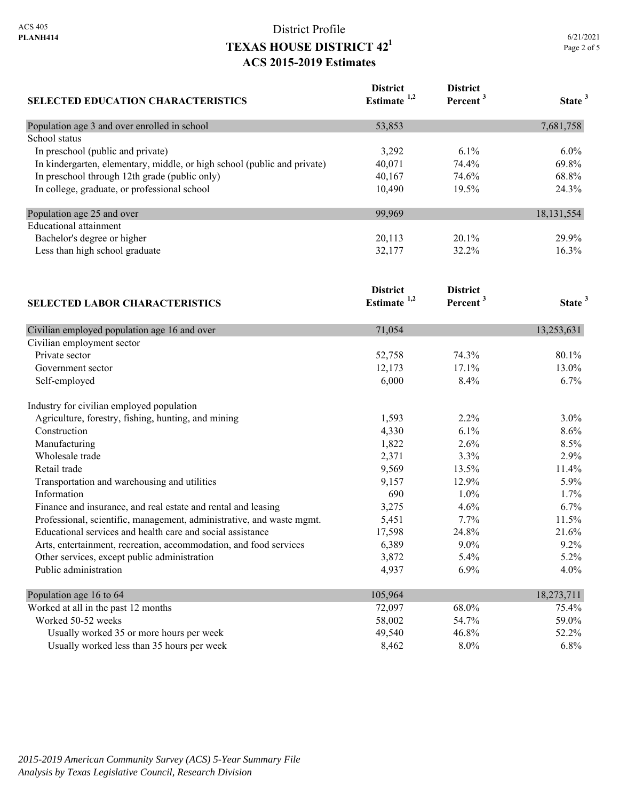| <b>SELECTED EDUCATION CHARACTERISTICS</b>                                | <b>District</b><br>Estimate <sup>1,2</sup> | <b>District</b><br>Percent <sup>3</sup> | State <sup>3</sup> |
|--------------------------------------------------------------------------|--------------------------------------------|-----------------------------------------|--------------------|
| Population age 3 and over enrolled in school                             | 53,853                                     |                                         | 7,681,758          |
| School status                                                            |                                            |                                         |                    |
| In preschool (public and private)                                        | 3,292                                      | 6.1%                                    | 6.0%               |
| In kindergarten, elementary, middle, or high school (public and private) | 40,071                                     | 74.4%                                   | 69.8%              |
| In preschool through 12th grade (public only)                            | 40,167                                     | 74.6%                                   | 68.8%              |
| In college, graduate, or professional school                             | 10,490                                     | 19.5%                                   | 24.3%              |
| Population age 25 and over                                               | 99,969                                     |                                         | 18, 131, 554       |
| <b>Educational</b> attainment                                            |                                            |                                         |                    |
| Bachelor's degree or higher                                              | 20,113                                     | 20.1%                                   | 29.9%              |
| Less than high school graduate                                           | 32,177                                     | 32.2%                                   | 16.3%              |
|                                                                          | <b>District</b>                            | <b>District</b>                         |                    |
| <b>SELECTED LABOR CHARACTERISTICS</b>                                    | Estimate $1,2$                             | Percent <sup>3</sup>                    | State <sup>3</sup> |
| Civilian employed population age 16 and over                             | 71,054                                     |                                         | 13,253,631         |
| Civilian employment sector                                               |                                            |                                         |                    |
| Private sector                                                           | 52,758                                     | 74.3%                                   | 80.1%              |
| Government sector                                                        | 12,173                                     | 17.1%                                   | 13.0%              |
| Self-employed                                                            | 6,000                                      | 8.4%                                    | 6.7%               |
| Industry for civilian employed population                                |                                            |                                         |                    |
| Agriculture, forestry, fishing, hunting, and mining                      | 1,593                                      | 2.2%                                    | 3.0%               |
| Construction                                                             | 4,330                                      | 6.1%                                    | 8.6%               |
| Manufacturing                                                            | 1,822                                      | 2.6%                                    | 8.5%               |
| Wholesale trade                                                          | 2,371                                      | 3.3%                                    | 2.9%               |
| Retail trade                                                             | 9,569                                      | 13.5%                                   | 11.4%              |
| Transportation and warehousing and utilities                             | 9,157                                      | 12.9%                                   | 5.9%               |
| Information                                                              | 690                                        | 1.0%                                    | 1.7%               |
| Finance and insurance, and real estate and rental and leasing            | 3,275                                      | 4.6%                                    | 6.7%               |
| Professional, scientific, management, administrative, and waste mgmt.    | 5,451                                      | 7.7%                                    | 11.5%              |
| Educational services and health care and social assistance               | 17,598                                     | 24.8%                                   | 21.6%              |
| Arts, entertainment, recreation, accommodation, and food services        | 6,389                                      | 9.0%                                    | 9.2%               |
| Other services, except public administration                             | 3,872                                      | 5.4%                                    | 5.2%               |
| Public administration                                                    | 4,937                                      | 6.9%                                    | 4.0%               |
| Population age 16 to 64                                                  | 105,964                                    |                                         | 18,273,711         |
| Worked at all in the past 12 months                                      | 72,097                                     | 68.0%                                   | 75.4%              |
| Worked 50-52 weeks                                                       | 58,002                                     | 54.7%                                   | 59.0%              |
| Usually worked 35 or more hours per week                                 | 49,540                                     | 46.8%                                   | 52.2%              |
| Usually worked less than 35 hours per week                               | 8,462                                      | 8.0%                                    | 6.8%               |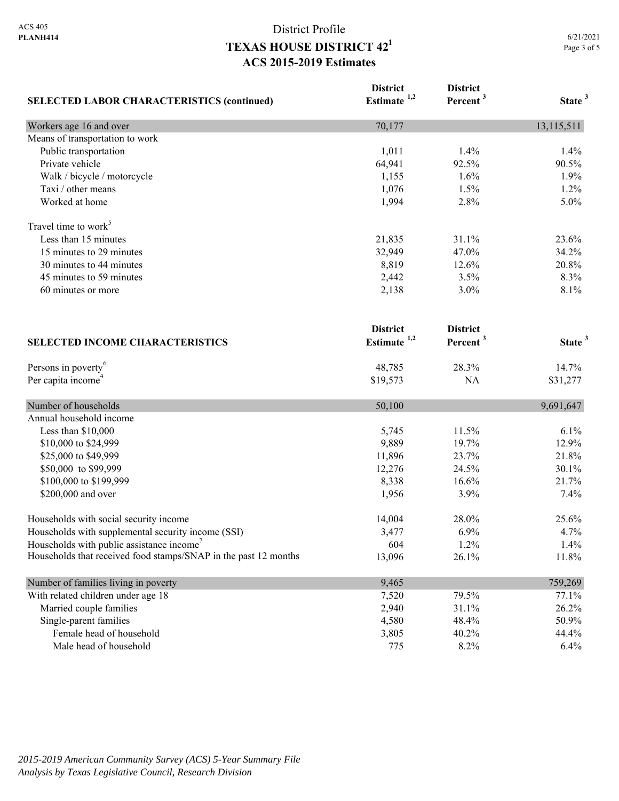| <b>SELECTED LABOR CHARACTERISTICS (continued)</b>               | <b>District</b><br>Estimate <sup>1,2</sup> | <b>District</b><br>Percent <sup>3</sup> | State <sup>3</sup> |
|-----------------------------------------------------------------|--------------------------------------------|-----------------------------------------|--------------------|
| Workers age 16 and over                                         | 70,177                                     |                                         | 13,115,511         |
| Means of transportation to work                                 |                                            |                                         |                    |
| Public transportation                                           | 1,011                                      | 1.4%                                    | 1.4%               |
| Private vehicle                                                 | 64,941                                     | 92.5%                                   | 90.5%              |
| Walk / bicycle / motorcycle                                     | 1,155                                      | 1.6%                                    | 1.9%               |
| Taxi / other means                                              | 1,076                                      | 1.5%                                    | 1.2%               |
| Worked at home                                                  | 1,994                                      | 2.8%                                    | 5.0%               |
| Travel time to work <sup>5</sup>                                |                                            |                                         |                    |
| Less than 15 minutes                                            | 21,835                                     | 31.1%                                   | 23.6%              |
| 15 minutes to 29 minutes                                        | 32,949                                     | 47.0%                                   | 34.2%              |
| 30 minutes to 44 minutes                                        | 8,819                                      | 12.6%                                   | 20.8%              |
| 45 minutes to 59 minutes                                        | 2,442                                      | 3.5%                                    | 8.3%               |
| 60 minutes or more                                              | 2,138                                      | 3.0%                                    | 8.1%               |
|                                                                 | <b>District</b>                            | <b>District</b>                         |                    |
| <b>SELECTED INCOME CHARACTERISTICS</b>                          | Estimate <sup>1,2</sup>                    | Percent <sup>3</sup>                    | State <sup>3</sup> |
| Persons in poverty <sup>6</sup>                                 | 48,785                                     | 28.3%                                   | 14.7%              |
| Per capita income <sup>4</sup>                                  | \$19,573                                   | NA                                      | \$31,277           |
| Number of households                                            | 50,100                                     |                                         | 9,691,647          |
| Annual household income                                         |                                            |                                         |                    |
| Less than $$10,000$                                             | 5,745                                      | 11.5%                                   | 6.1%               |
| \$10,000 to \$24,999                                            | 9,889                                      | 19.7%                                   | 12.9%              |
| \$25,000 to \$49,999                                            | 11,896                                     | 23.7%                                   | 21.8%              |
| \$50,000 to \$99,999                                            | 12,276                                     | 24.5%                                   | 30.1%              |
| \$100,000 to \$199,999                                          | 8,338                                      | 16.6%                                   | 21.7%              |
| \$200,000 and over                                              | 1,956                                      | 3.9%                                    | 7.4%               |
| Households with social security income                          | 14,004                                     | 28.0%                                   | 25.6%              |
| Households with supplemental security income (SSI)              | 3,477                                      | 6.9%                                    | 4.7%               |
| Households with public assistance income <sup>7</sup>           | 604                                        | 1.2%                                    | 1.4%               |
| Households that received food stamps/SNAP in the past 12 months | 13,096                                     | 26.1%                                   | 11.8%              |
| Number of families living in poverty                            | 9,465                                      |                                         | 759,269            |
| With related children under age 18                              | 7,520                                      | 79.5%                                   | 77.1%              |
| Married couple families                                         | 2,940                                      | 31.1%                                   | 26.2%              |
| Single-parent families                                          | 4,580                                      | 48.4%                                   | 50.9%              |
| Female head of household                                        | 3,805                                      | 40.2%                                   | 44.4%              |
| Male head of household                                          | 775                                        | 8.2%                                    | 6.4%               |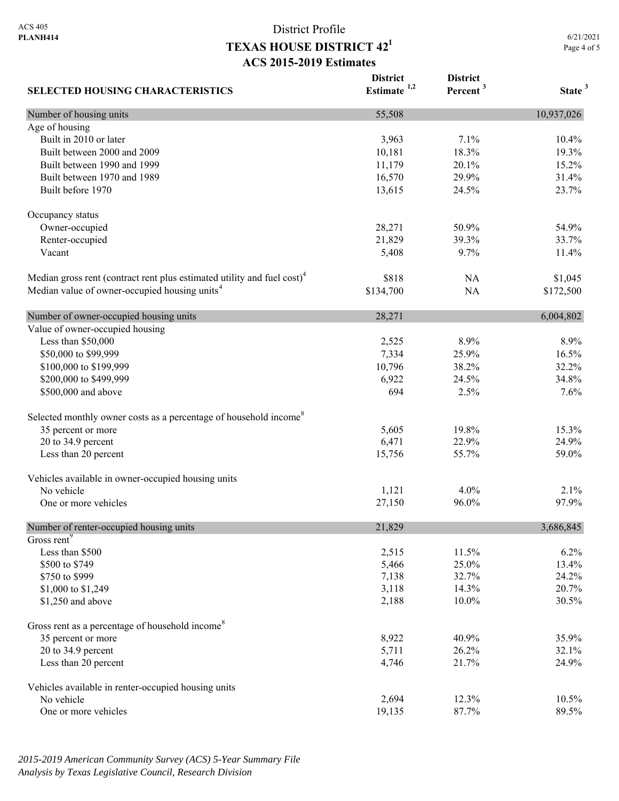**SELECTED HOUSING CHARACTERISTICS District Estimate 1,2 District Percent <sup>3</sup> State <sup>3</sup>** Number of housing units 10,937,026 10,937,026 Age of housing Built in 2010 or later 10.4% 10.4% 10.4% 10.4% 10.4% 10.4% 10.4% 10.4% 10.4% 10.4% Built between 2000 and 2009 10,181 18.3% 19.3% 19.3% 19.3% Built between 1990 and 1999 11,179 20.1% 15.2% Built between 1970 and 1989 16,570 29.9% 31.4% Built before 1970 23.7% 23.7% 23.7% Occupancy status Owner-occupied 28,271 50.9% 54.9% 54.9% Renter-occupied 21,829 39.3% 33.7% Vacant 5,408 9.7% 11.4% Median gross rent (contract rent plus estimated utility and fuel cost)<sup>4</sup> \$818 NA \$1,045 Median value of owner-occupied housing units<sup>4</sup> \$134,700 NA \$172,500 Number of owner-occupied housing units 28,271 6,004,802 Value of owner-occupied housing Less than \$50,000 2,525 8.9% 8.9% \$50,000 to \$99,999 7,334 25.9% 16.5% \$100,000 to \$199,999 10,796 38.2% 32.2% 32.2% \$200,000 to \$499,999 6,922 24.5% 34.8% \$500,000 and above 694 2.5% 7.6% 7.6% Selected monthly owner costs as a percentage of household income<sup>8</sup> 35 percent or more 15.3% 19.8% 15.3% 20 to 34.9 percent 24.9% 24.9% 24.9% 26.471 22.9% 24.9% Less than 20 percent 15,756 55.7% 59.0% Vehicles available in owner-occupied housing units No vehicle  $1,121$   $4.0\%$   $2.1\%$  One or more vehicles 27,150 96.0% 97.9% Number of renter-occupied housing units 21,829 3,686,845 Gross rent<sup>9</sup> Less than \$500 2,515 11.5% 6.2%  $$500 \text{ to } $749$   $$3.4\%$   $$5,466$   $$25.0\%$   $$13.4\%$  $\frac{$7,138}{24.2\%}$  24.2% \$1,000 to \$1,249 3,118 14.3% 20.7% \$1,250 and above 30.5% 30.5% 30.5% Gross rent as a percentage of household income<sup>8</sup> 35 percent or more 35.9% 35.9% 35.9% 20 to 34.9 percent 32.1% 32.1% Less than 20 percent 24.9% 24.9% 24.9% 24.9% 26.000 26.000 26.000 26.000 26.000 26.000 26.000 26.000 26.000 26 Vehicles available in renter-occupied housing units No vehicle 2,694 12.3% 10.5% One or more vehicles 89.5% 89.5%